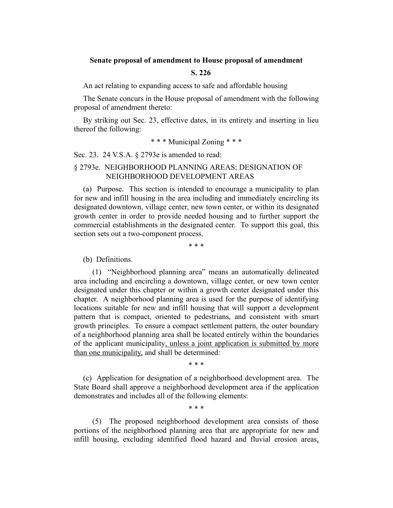#### **Senate proposal of amendment to House proposal of amendment**

### **S. 226**

An act relating to expanding access to safe and affordable housing

The Senate concurs in the House proposal of amendment with the following proposal of amendment thereto:

By striking out Sec. 23, effective dates, in its entirety and inserting in lieu thereof the following:

### \* \* \* Municipal Zoning \* \* \*

Sec. 23. 24 V.S.A. § 2793e is amended to read:

## § 2793e. NEIGHBORHOOD PLANNING AREAS; DESIGNATION OF NEIGHBORHOOD DEVELOPMENT AREAS

(a) Purpose. This section is intended to encourage a municipality to plan for new and infill housing in the area including and immediately encircling its designated downtown, village center, new town center, or within its designated growth center in order to provide needed housing and to further support the commercial establishments in the designated center. To support this goal, this section sets out a two-component process.

\* \* \*

#### (b) Definitions.

(1) "Neighborhood planning area" means an automatically delineated area including and encircling a downtown, village center, or new town center designated under this chapter or within a growth center designated under this chapter. A neighborhood planning area is used for the purpose of identifying locations suitable for new and infill housing that will support a development pattern that is compact, oriented to pedestrians, and consistent with smart growth principles. To ensure a compact settlement pattern, the outer boundary of a neighborhood planning area shall be located entirely within the boundaries of the applicant municipality, unless a joint application is submitted by more than one municipality, and shall be determined:

\* \* \*

(c) Application for designation of a neighborhood development area. The State Board shall approve a neighborhood development area if the application demonstrates and includes all of the following elements:

\* \* \*

(5) The proposed neighborhood development area consists of those portions of the neighborhood planning area that are appropriate for new and infill housing, excluding identified flood hazard and fluvial erosion areas,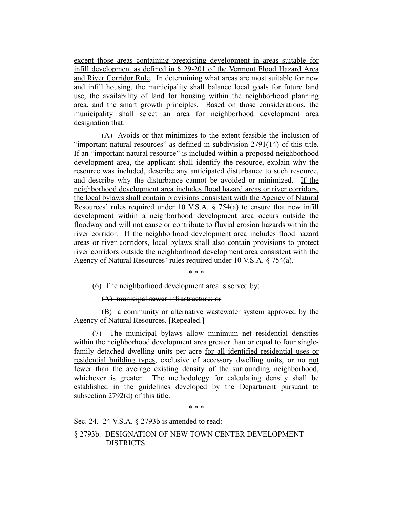except those areas containing preexisting development in areas suitable for infill development as defined in § 29-201 of the Vermont Flood Hazard Area and River Corridor Rule. In determining what areas are most suitable for new and infill housing, the municipality shall balance local goals for future land use, the availability of land for housing within the neighborhood planning area, and the smart growth principles. Based on those considerations, the municipality shall select an area for neighborhood development area designation that:

(A) Avoids or that minimizes to the extent feasible the inclusion of "important natural resources" as defined in subdivision 2791(14) of this title. If an "important natural resource" is included within a proposed neighborhood development area, the applicant shall identify the resource, explain why the resource was included, describe any anticipated disturbance to such resource, and describe why the disturbance cannot be avoided or minimized. If the neighborhood development area includes flood hazard areas or river corridors, the local bylaws shall contain provisions consistent with the Agency of Natural Resources' rules required under 10 V.S.A. § 754(a) to ensure that new infill development within a neighborhood development area occurs outside the floodway and will not cause or contribute to fluvial erosion hazards within the river corridor. If the neighborhood development area includes flood hazard areas or river corridors, local bylaws shall also contain provisions to protect river corridors outside the neighborhood development area consistent with the Agency of Natural Resources' rules required under 10 V.S.A. § 754(a).

\* \* \*

(6) The neighborhood development area is served by:

(A) municipal sewer infrastructure; or

(B) a community or alternative wastewater system approved by the Agency of Natural Resources. [Repealed.]

(7) The municipal bylaws allow minimum net residential densities within the neighborhood development area greater than or equal to four singlefamily detached dwelling units per acre for all identified residential uses or residential building types, exclusive of accessory dwelling units, or no not fewer than the average existing density of the surrounding neighborhood, whichever is greater. The methodology for calculating density shall be established in the guidelines developed by the Department pursuant to subsection 2792(d) of this title.

\* \* \*

Sec. 24. 24 V.S.A. § 2793b is amended to read:

§ 2793b. DESIGNATION OF NEW TOWN CENTER DEVELOPMENT DISTRICTS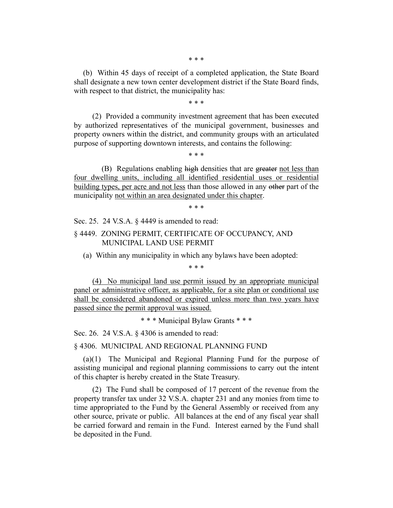\* \* \*

(b) Within 45 days of receipt of a completed application, the State Board shall designate a new town center development district if the State Board finds, with respect to that district, the municipality has:

\* \* \*

(2) Provided a community investment agreement that has been executed by authorized representatives of the municipal government, businesses and property owners within the district, and community groups with an articulated purpose of supporting downtown interests, and contains the following:

\* \* \*

(B) Regulations enabling high densities that are greater not less than four dwelling units, including all identified residential uses or residential building types, per acre and not less than those allowed in any other part of the municipality not within an area designated under this chapter.

\* \* \*

Sec. 25. 24 V.S.A. § 4449 is amended to read:

§ 4449. ZONING PERMIT, CERTIFICATE OF OCCUPANCY, AND MUNICIPAL LAND USE PERMIT

(a) Within any municipality in which any bylaws have been adopted:

\* \* \*

(4) No municipal land use permit issued by an appropriate municipal panel or administrative officer, as applicable, for a site plan or conditional use shall be considered abandoned or expired unless more than two years have passed since the permit approval was issued.

\* \* \* Municipal Bylaw Grants \* \* \*

Sec. 26. 24 V.S.A. § 4306 is amended to read:

§ 4306. MUNICIPAL AND REGIONAL PLANNING FUND

(a)(1) The Municipal and Regional Planning Fund for the purpose of assisting municipal and regional planning commissions to carry out the intent of this chapter is hereby created in the State Treasury.

(2) The Fund shall be composed of 17 percent of the revenue from the property transfer tax under 32 V.S.A. chapter 231 and any monies from time to time appropriated to the Fund by the General Assembly or received from any other source, private or public. All balances at the end of any fiscal year shall be carried forward and remain in the Fund. Interest earned by the Fund shall be deposited in the Fund.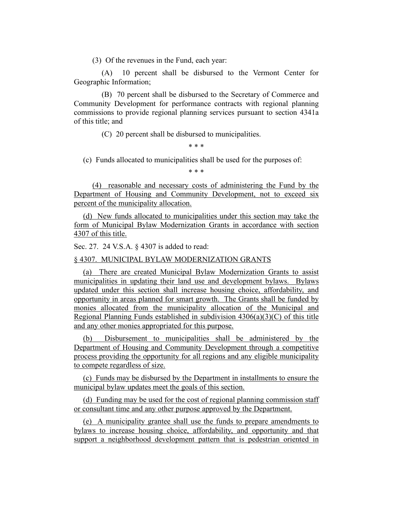(3) Of the revenues in the Fund, each year:

(A) 10 percent shall be disbursed to the Vermont Center for Geographic Information;

(B) 70 percent shall be disbursed to the Secretary of Commerce and Community Development for performance contracts with regional planning commissions to provide regional planning services pursuant to section 4341a of this title; and

(C) 20 percent shall be disbursed to municipalities.

\* \* \*

(c) Funds allocated to municipalities shall be used for the purposes of:

\* \* \*

(4) reasonable and necessary costs of administering the Fund by the Department of Housing and Community Development, not to exceed six percent of the municipality allocation.

(d) New funds allocated to municipalities under this section may take the form of Municipal Bylaw Modernization Grants in accordance with section 4307 of this title.

Sec. 27. 24 V.S.A. § 4307 is added to read:

§ 4307. MUNICIPAL BYLAW MODERNIZATION GRANTS

(a) There are created Municipal Bylaw Modernization Grants to assist municipalities in updating their land use and development bylaws. Bylaws updated under this section shall increase housing choice, affordability, and opportunity in areas planned for smart growth. The Grants shall be funded by monies allocated from the municipality allocation of the Municipal and Regional Planning Funds established in subdivision  $4306(a)(3)(C)$  of this title and any other monies appropriated for this purpose.

(b) Disbursement to municipalities shall be administered by the Department of Housing and Community Development through a competitive process providing the opportunity for all regions and any eligible municipality to compete regardless of size.

(c) Funds may be disbursed by the Department in installments to ensure the municipal bylaw updates meet the goals of this section.

(d) Funding may be used for the cost of regional planning commission staff or consultant time and any other purpose approved by the Department.

(e) A municipality grantee shall use the funds to prepare amendments to bylaws to increase housing choice, affordability, and opportunity and that support a neighborhood development pattern that is pedestrian oriented in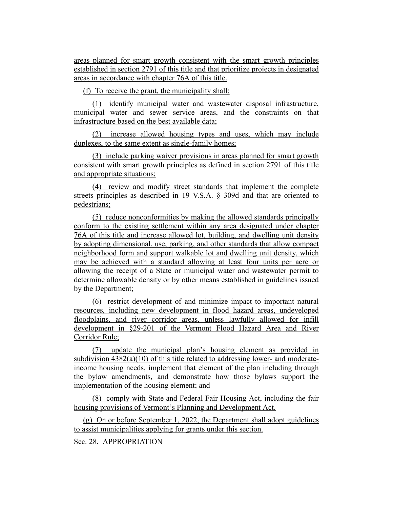areas planned for smart growth consistent with the smart growth principles established in section 2791 of this title and that prioritize projects in designated areas in accordance with chapter 76A of this title.

(f) To receive the grant, the municipality shall:

(1) identify municipal water and wastewater disposal infrastructure, municipal water and sewer service areas, and the constraints on that infrastructure based on the best available data;

(2) increase allowed housing types and uses, which may include duplexes, to the same extent as single-family homes;

(3) include parking waiver provisions in areas planned for smart growth consistent with smart growth principles as defined in section 2791 of this title and appropriate situations;

(4) review and modify street standards that implement the complete streets principles as described in 19 V.S.A. § 309d and that are oriented to pedestrians;

(5) reduce nonconformities by making the allowed standards principally conform to the existing settlement within any area designated under chapter 76A of this title and increase allowed lot, building, and dwelling unit density by adopting dimensional, use, parking, and other standards that allow compact neighborhood form and support walkable lot and dwelling unit density, which may be achieved with a standard allowing at least four units per acre or allowing the receipt of a State or municipal water and wastewater permit to determine allowable density or by other means established in guidelines issued by the Department;

(6) restrict development of and minimize impact to important natural resources, including new development in flood hazard areas, undeveloped floodplains, and river corridor areas, unless lawfully allowed for infill development in §29-201 of the Vermont Flood Hazard Area and River Corridor Rule;

(7) update the municipal plan's housing element as provided in subdivision  $4382(a)(10)$  of this title related to addressing lower- and moderateincome housing needs, implement that element of the plan including through the bylaw amendments, and demonstrate how those bylaws support the implementation of the housing element; and

(8) comply with State and Federal Fair Housing Act, including the fair housing provisions of Vermont's Planning and Development Act.

(g) On or before September 1, 2022, the Department shall adopt guidelines to assist municipalities applying for grants under this section.

Sec. 28. APPROPRIATION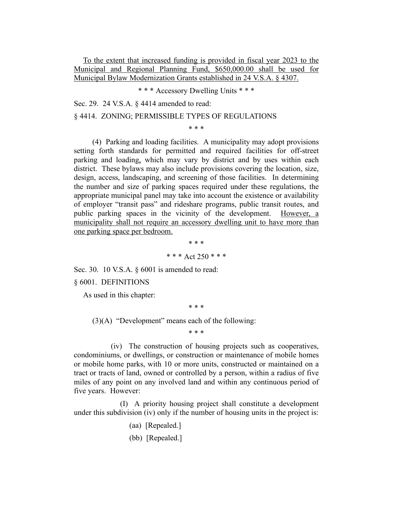To the extent that increased funding is provided in fiscal year 2023 to the Municipal and Regional Planning Fund, \$650,000.00 shall be used for Municipal Bylaw Modernization Grants established in 24 V.S.A. § 4307.

\* \* \* Accessory Dwelling Units \* \* \*

Sec. 29. 24 V.S.A. § 4414 amended to read:

### § 4414. ZONING; PERMISSIBLE TYPES OF REGULATIONS

\* \* \*

(4) Parking and loading facilities. A municipality may adopt provisions setting forth standards for permitted and required facilities for off-street parking and loading, which may vary by district and by uses within each district. These bylaws may also include provisions covering the location, size, design, access, landscaping, and screening of those facilities. In determining the number and size of parking spaces required under these regulations, the appropriate municipal panel may take into account the existence or availability of employer "transit pass" and rideshare programs, public transit routes, and public parking spaces in the vicinity of the development. However, a municipality shall not require an accessory dwelling unit to have more than one parking space per bedroom.

> \* \* \* \* \* \* Act 250 \* \* \*

Sec. 30. 10 V.S.A. § 6001 is amended to read:

§ 6001. DEFINITIONS

As used in this chapter:

\* \* \*

 $(3)(A)$  "Development" means each of the following:

\* \* \*

(iv) The construction of housing projects such as cooperatives, condominiums, or dwellings, or construction or maintenance of mobile homes or mobile home parks, with 10 or more units, constructed or maintained on a tract or tracts of land, owned or controlled by a person, within a radius of five miles of any point on any involved land and within any continuous period of five years. However:

(I) A priority housing project shall constitute a development under this subdivision (iv) only if the number of housing units in the project is:

- (aa) [Repealed.]
- (bb) [Repealed.]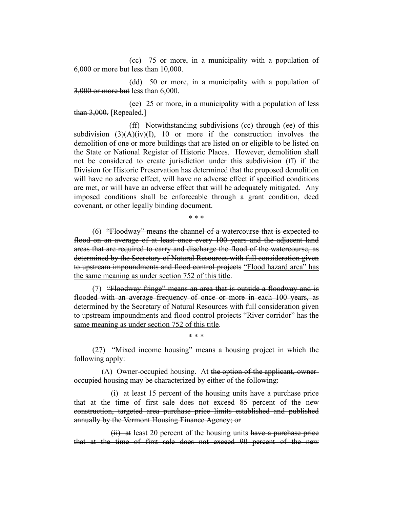(cc) 75 or more, in a municipality with a population of 6,000 or more but less than 10,000.

(dd) 50 or more, in a municipality with a population of 3,000 or more but less than 6,000.

(ee) 25 or more, in a municipality with a population of less than 3,000. [Repealed.]

(ff) Notwithstanding subdivisions (cc) through (ee) of this subdivision  $(3)(A)(iv)(I)$ , 10 or more if the construction involves the demolition of one or more buildings that are listed on or eligible to be listed on the State or National Register of Historic Places. However, demolition shall not be considered to create jurisdiction under this subdivision (ff) if the Division for Historic Preservation has determined that the proposed demolition will have no adverse effect, will have no adverse effect if specified conditions are met, or will have an adverse effect that will be adequately mitigated. Any imposed conditions shall be enforceable through a grant condition, deed covenant, or other legally binding document.

\* \* \*

(6) "Floodway" means the channel of a watercourse that is expected to flood on an average of at least once every 100 years and the adjacent land areas that are required to carry and discharge the flood of the watercourse, as determined by the Secretary of Natural Resources with full consideration given to upstream impoundments and flood control projects "Flood hazard area" has the same meaning as under section 752 of this title.

(7) "Floodway fringe" means an area that is outside a floodway and is flooded with an average frequency of once or more in each 100 years, as determined by the Secretary of Natural Resources with full consideration given to upstream impoundments and flood control projects "River corridor" has the same meaning as under section 752 of this title.

(27) "Mixed income housing" means a housing project in which the following apply:

\* \* \*

(A) Owner-occupied housing. At the option of the applicant, owneroccupied housing may be characterized by either of the following:

(i) at least 15 percent of the housing units have a purchase price that at the time of first sale does not exceed 85 percent of the new construction, targeted area purchase price limits established and published annually by the Vermont Housing Finance Agency; or

 $(ii)$  at least 20 percent of the housing units have a purchase price that at the time of first sale does not exceed 90 percent of the new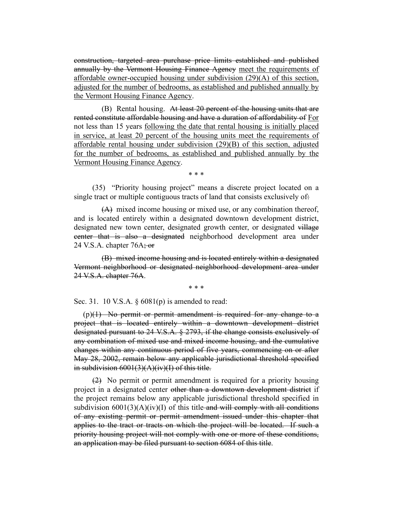construction, targeted area purchase price limits established and published annually by the Vermont Housing Finance Agency meet the requirements of affordable owner-occupied housing under subdivision (29)(A) of this section, adjusted for the number of bedrooms, as established and published annually by the Vermont Housing Finance Agency.

(B) Rental housing. At least 20 percent of the housing units that are rented constitute affordable housing and have a duration of affordability of For not less than 15 years following the date that rental housing is initially placed in service, at least 20 percent of the housing units meet the requirements of affordable rental housing under subdivision (29)(B) of this section, adjusted for the number of bedrooms, as established and published annually by the Vermont Housing Finance Agency.

\* \* \*

(35) "Priority housing project" means a discrete project located on a single tract or multiple contiguous tracts of land that consists exclusively of.

(A) mixed income housing or mixed use, or any combination thereof, and is located entirely within a designated downtown development district, designated new town center, designated growth center, or designated village center that is also a designated neighborhood development area under 24 V.S.A. chapter  $76A$ ; or

(B) mixed income housing and is located entirely within a designated Vermont neighborhood or designated neighborhood development area under 24 V.S.A. chapter 76A.

\* \* \*

Sec. 31. 10 V.S.A.  $\S$  6081(p) is amended to read:

 $(p)(1)$  No permit or permit amendment is required for any change to a project that is located entirely within a downtown development district designated pursuant to 24 V.S.A. § 2793, if the change consists exclusively of any combination of mixed use and mixed income housing, and the cumulative changes within any continuous period of five years, commencing on or after May 28, 2002, remain below any applicable jurisdictional threshold specified in subdivision  $6001(3)(A)(iv)(I)$  of this title.

(2) No permit or permit amendment is required for a priority housing project in a designated center other than a downtown development district if the project remains below any applicable jurisdictional threshold specified in subdivision  $6001(3)(A)(iv)(I)$  of this title-and will comply with all conditions of any existing permit or permit amendment issued under this chapter that applies to the tract or tracts on which the project will be located. If such a priority housing project will not comply with one or more of these conditions, an application may be filed pursuant to section 6084 of this title.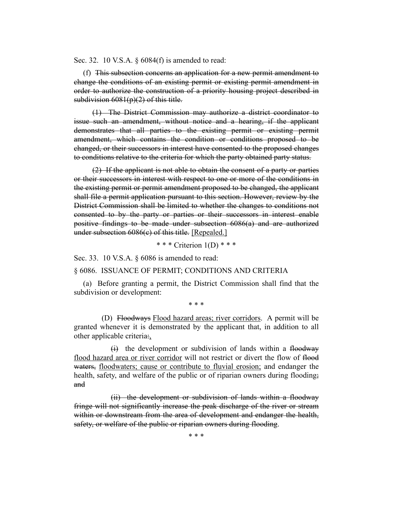Sec. 32. 10 V.S.A. § 6084(f) is amended to read:

(f) This subsection concerns an application for a new permit amendment to change the conditions of an existing permit or existing permit amendment in order to authorize the construction of a priority housing project described in subdivision  $6081(p)(2)$  of this title.

(1) The District Commission may authorize a district coordinator to issue such an amendment, without notice and a hearing, if the applicant demonstrates that all parties to the existing permit or existing permit amendment, which contains the condition or conditions proposed to be changed, or their successors in interest have consented to the proposed changes to conditions relative to the criteria for which the party obtained party status.

(2) If the applicant is not able to obtain the consent of a party or parties or their successors in interest with respect to one or more of the conditions in the existing permit or permit amendment proposed to be changed, the applicant shall file a permit application pursuant to this section. However, review by the District Commission shall be limited to whether the changes to conditions not consented to by the party or parties or their successors in interest enable positive findings to be made under subsection 6086(a) and are authorized under subsection 6086(c) of this title. [Repealed.]

\* \* \* Criterion 1(D) \* \* \*

Sec. 33. 10 V.S.A. § 6086 is amended to read:

§ 6086. ISSUANCE OF PERMIT; CONDITIONS AND CRITERIA

(a) Before granting a permit, the District Commission shall find that the subdivision or development:

\* \* \*

(D) Floodways Flood hazard areas; river corridors. A permit will be granted whenever it is demonstrated by the applicant that, in addition to all other applicable criteria:,

 $(i)$  the development or subdivision of lands within a floodway flood hazard area or river corridor will not restrict or divert the flow of flood waters, floodwaters; cause or contribute to fluvial erosion; and endanger the health, safety, and welfare of the public or of riparian owners during flooding; and

(ii) the development or subdivision of lands within a floodway fringe will not significantly increase the peak discharge of the river or stream within or downstream from the area of development and endanger the health, safety, or welfare of the public or riparian owners during flooding.

\* \* \*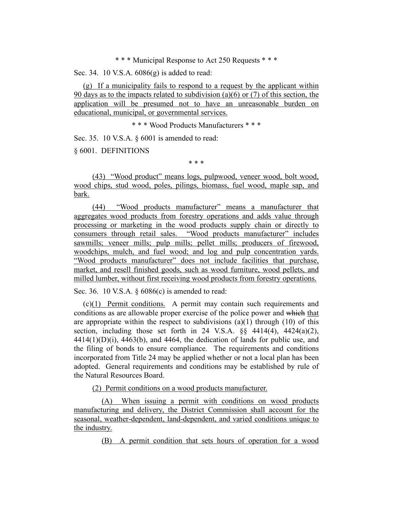\* \* \* Municipal Response to Act 250 Requests \* \* \*

Sec. 34. 10 V.S.A. 6086(g) is added to read:

(g) If a municipality fails to respond to a request by the applicant within 90 days as to the impacts related to subdivision (a)(6) or (7) of this section, the application will be presumed not to have an unreasonable burden on educational, municipal, or governmental services.

\* \* \* Wood Products Manufacturers \* \* \*

Sec. 35. 10 V.S.A. § 6001 is amended to read:

§ 6001. DEFINITIONS

\* \* \*

(43) "Wood product" means logs, pulpwood, veneer wood, bolt wood, wood chips, stud wood, poles, pilings, biomass, fuel wood, maple sap, and bark.

(44) "Wood products manufacturer" means a manufacturer that aggregates wood products from forestry operations and adds value through processing or marketing in the wood products supply chain or directly to consumers through retail sales. "Wood products manufacturer" includes sawmills; veneer mills; pulp mills; pellet mills; producers of firewood, woodchips, mulch, and fuel wood; and log and pulp concentration yards. "Wood products manufacturer" does not include facilities that purchase, market, and resell finished goods, such as wood furniture, wood pellets, and milled lumber, without first receiving wood products from forestry operations.

Sec. 36. 10 V.S.A. § 6086(c) is amended to read:

(c)(1) Permit conditions. A permit may contain such requirements and conditions as are allowable proper exercise of the police power and which that are appropriate within the respect to subdivisions  $(a)(1)$  through  $(10)$  of this section, including those set forth in 24 V.S.A.  $\S$ § 4414(4), 4424(a)(2),  $4414(1)(D)(i)$ ,  $4463(b)$ , and  $4464$ , the dedication of lands for public use, and the filing of bonds to ensure compliance. The requirements and conditions incorporated from Title 24 may be applied whether or not a local plan has been adopted. General requirements and conditions may be established by rule of the Natural Resources Board.

(2) Permit conditions on a wood products manufacturer.

(A) When issuing a permit with conditions on wood products manufacturing and delivery, the District Commission shall account for the seasonal, weather-dependent, land-dependent, and varied conditions unique to the industry.

(B) A permit condition that sets hours of operation for a wood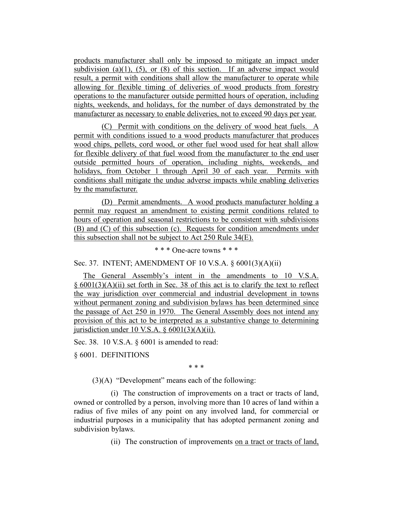products manufacturer shall only be imposed to mitigate an impact under subdivision (a)(1), (5), or (8) of this section. If an adverse impact would result, a permit with conditions shall allow the manufacturer to operate while allowing for flexible timing of deliveries of wood products from forestry operations to the manufacturer outside permitted hours of operation, including nights, weekends, and holidays, for the number of days demonstrated by the manufacturer as necessary to enable deliveries, not to exceed 90 days per year.

(C) Permit with conditions on the delivery of wood heat fuels. A permit with conditions issued to a wood products manufacturer that produces wood chips, pellets, cord wood, or other fuel wood used for heat shall allow for flexible delivery of that fuel wood from the manufacturer to the end user outside permitted hours of operation, including nights, weekends, and holidays, from October 1 through April 30 of each year. Permits with conditions shall mitigate the undue adverse impacts while enabling deliveries by the manufacturer.

(D) Permit amendments. A wood products manufacturer holding a permit may request an amendment to existing permit conditions related to hours of operation and seasonal restrictions to be consistent with subdivisions (B) and (C) of this subsection (c). Requests for condition amendments under this subsection shall not be subject to Act 250 Rule 34(E).

\* \* \* One-acre towns \* \* \*

Sec. 37. INTENT; AMENDMENT OF 10 V.S.A. § 6001(3)(A)(ii)

The General Assembly's intent in the amendments to 10 V.S.A. § 6001(3)(A)(ii) set forth in Sec. 38 of this act is to clarify the text to reflect the way jurisdiction over commercial and industrial development in towns without permanent zoning and subdivision bylaws has been determined since the passage of Act 250 in 1970. The General Assembly does not intend any provision of this act to be interpreted as a substantive change to determining jurisdiction under 10 V.S.A.  $\S$  6001(3)(A)(ii).

Sec. 38. 10 V.S.A. § 6001 is amended to read:

§ 6001. DEFINITIONS

\* \* \*

(3)(A) "Development" means each of the following:

(i) The construction of improvements on a tract or tracts of land, owned or controlled by a person, involving more than 10 acres of land within a radius of five miles of any point on any involved land, for commercial or industrial purposes in a municipality that has adopted permanent zoning and subdivision bylaws.

(ii) The construction of improvements on a tract or tracts of land,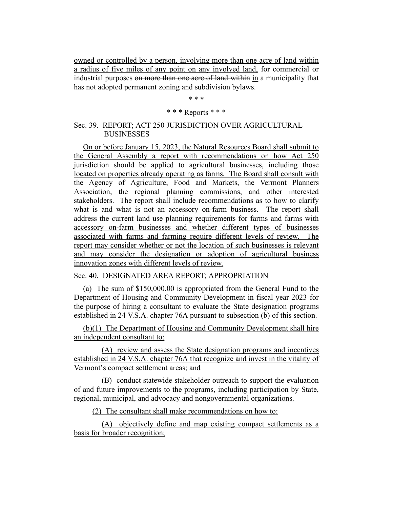owned or controlled by a person, involving more than one acre of land within a radius of five miles of any point on any involved land, for commercial or industrial purposes on more than one acre of land within in a municipality that has not adopted permanent zoning and subdivision bylaws.

\* \* \*

## \* \* \* Reports \* \* \*

### Sec. 39. REPORT; ACT 250 JURISDICTION OVER AGRICULTURAL BUSINESSES

On or before January 15, 2023, the Natural Resources Board shall submit to the General Assembly a report with recommendations on how Act 250 jurisdiction should be applied to agricultural businesses, including those located on properties already operating as farms. The Board shall consult with the Agency of Agriculture, Food and Markets, the Vermont Planners Association, the regional planning commissions, and other interested stakeholders. The report shall include recommendations as to how to clarify what is and what is not an accessory on-farm business. The report shall address the current land use planning requirements for farms and farms with accessory on-farm businesses and whether different types of businesses associated with farms and farming require different levels of review. The report may consider whether or not the location of such businesses is relevant and may consider the designation or adoption of agricultural business innovation zones with different levels of review.

# Sec. 40. DESIGNATED AREA REPORT; APPROPRIATION

(a) The sum of \$150,000.00 is appropriated from the General Fund to the Department of Housing and Community Development in fiscal year 2023 for the purpose of hiring a consultant to evaluate the State designation programs established in 24 V.S.A. chapter 76A pursuant to subsection (b) of this section.

(b)(1) The Department of Housing and Community Development shall hire an independent consultant to:

(A) review and assess the State designation programs and incentives established in 24 V.S.A. chapter 76A that recognize and invest in the vitality of Vermont's compact settlement areas; and

(B) conduct statewide stakeholder outreach to support the evaluation of and future improvements to the programs, including participation by State, regional, municipal, and advocacy and nongovernmental organizations.

(2) The consultant shall make recommendations on how to:

(A) objectively define and map existing compact settlements as a basis for broader recognition;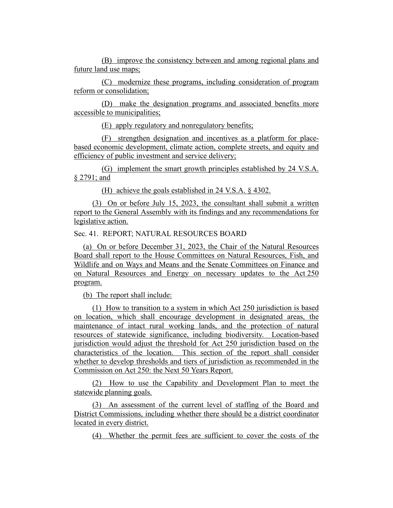(B) improve the consistency between and among regional plans and future land use maps;

(C) modernize these programs, including consideration of program reform or consolidation;

(D) make the designation programs and associated benefits more accessible to municipalities;

(E) apply regulatory and nonregulatory benefits;

(F) strengthen designation and incentives as a platform for placebased economic development, climate action, complete streets, and equity and efficiency of public investment and service delivery;

(G) implement the smart growth principles established by 24 V.S.A. § 2791; and

(H) achieve the goals established in 24 V.S.A. § 4302.

(3) On or before July 15, 2023, the consultant shall submit a written report to the General Assembly with its findings and any recommendations for legislative action.

Sec. 41. REPORT; NATURAL RESOURCES BOARD

(a) On or before December 31, 2023, the Chair of the Natural Resources Board shall report to the House Committees on Natural Resources, Fish, and Wildlife and on Ways and Means and the Senate Committees on Finance and on Natural Resources and Energy on necessary updates to the Act 250 program.

(b) The report shall include:

(1) How to transition to a system in which Act 250 jurisdiction is based on location, which shall encourage development in designated areas, the maintenance of intact rural working lands, and the protection of natural resources of statewide significance, including biodiversity. Location-based jurisdiction would adjust the threshold for Act 250 jurisdiction based on the characteristics of the location. This section of the report shall consider whether to develop thresholds and tiers of jurisdiction as recommended in the Commission on Act 250: the Next 50 Years Report.

(2) How to use the Capability and Development Plan to meet the statewide planning goals.

(3) An assessment of the current level of staffing of the Board and District Commissions, including whether there should be a district coordinator located in every district.

(4) Whether the permit fees are sufficient to cover the costs of the